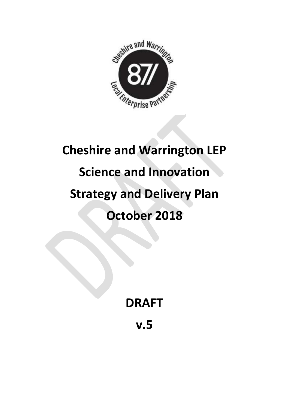

# **Cheshire and Warrington LEP Science and Innovation Strategy and Delivery Plan October 2018**

# **DRAFT**

**v.5**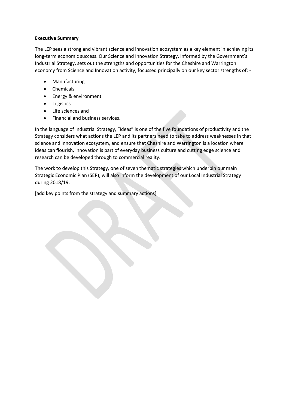#### **Executive Summary**

The LEP sees a strong and vibrant science and innovation ecosystem as a key element in achieving its long-term economic success. Our Science and Innovation Strategy, informed by the Government's Industrial Strategy, sets out the strengths and opportunities for the Cheshire and Warrington economy from Science and Innovation activity, focussed principally on our key sector strengths of: -

- Manufacturing
- Chemicals
- Energy & environment
- Logistics
- Life sciences and
- Financial and business services.

In the language of Industrial Strategy, "Ideas" is one of the five foundations of productivity and the Strategy considers what actions the LEP and its partners need to take to address weaknesses in that science and innovation ecosystem, and ensure that Cheshire and Warrington is a location where ideas can flourish, innovation is part of everyday business culture and cutting edge science and research can be developed through to commercial reality.

The work to develop this Strategy, one of seven thematic strategies which underpin our main Strategic Economic Plan (SEP), will also inform the development of our Local Industrial Strategy during 2018/19.

[add key points from the strategy and summary actions]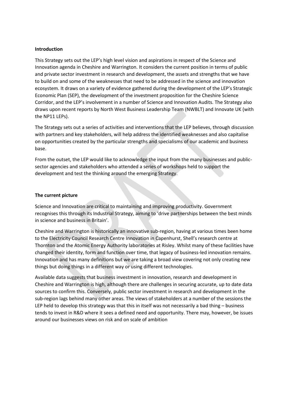#### **Introduction**

This Strategy sets out the LEP's high level vision and aspirations in respect of the Science and Innovation agenda in Cheshire and Warrington. It considers the current position in terms of public and private sector investment in research and development, the assets and strengths that we have to build on and some of the weaknesses that need to be addressed in the science and innovation ecosystem. It draws on a variety of evidence gathered during the development of the LEP's Strategic Economic Plan (SEP), the development of the investment proposition for the Cheshire Science Corridor, and the LEP's involvement in a number of Science and Innovation Audits. The Strategy also draws upon recent reports by North West Business Leadership Team (NWBLT) and Innovate UK (with the NP11 LEPs).

The Strategy sets out a series of activities and interventions that the LEP believes, through discussion with partners and key stakeholders, will help address the identified weaknesses and also capitalise on opportunities created by the particular strengths and specialisms of our academic and business base.

From the outset, the LEP would like to acknowledge the input from the many businesses and publicsector agencies and stakeholders who attended a series of workshops held to support the development and test the thinking around the emerging Strategy.

#### **The current picture**

Science and Innovation are critical to maintaining and improving productivity. Government recognises this through its Industrial Strategy, aiming to 'drive partnerships between the best minds in science and business in Britain'.

Cheshire and Warrington is historically an innovative sub-region, having at various times been home to the Electricity Council Research Centre Innovation in Capenhurst, Shell's research centre at Thornton and the Atomic Energy Authority laboratories at Risley. Whilst many of these facilities have changed their identity, form and function over time, that legacy of business-led innovation remains. Innovation and has many definitions but we are taking a broad view covering not only creating new things but doing things in a different way or using different technologies.

Available data suggests that business investment in innovation, research and development in Cheshire and Warrington is high, although there are challenges in securing accurate, up to date data sources to confirm this. Conversely, public sector investment in research and development in the sub-region lags behind many other areas. The views of stakeholders at a number of the sessions the LEP held to develop this strategy was that this in itself was not necessarily a bad thing – business tends to invest in R&D where it sees a defined need and opportunity. There may, however, be issues around our businesses views on risk and on scale of ambition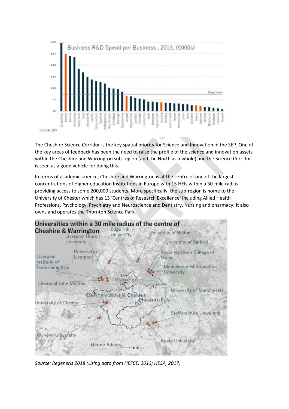

The Cheshire Science Corridor is the key spatial priority for Science and Innovation in the SEP. One of the key areas of feedback has been the need to raise the profile of the science and innovation assets within the Cheshire and Warrington sub-region (and the North as a whole) and the Science Corridor is seen as a good vehicle for doing this.

In terms of academic science, Cheshire and Warrington is at the centre of one of the largest concentrations of Higher education Institutions in Europe with 15 HEIs within a 30-mile radius providing access to some 200,000 students. More specifically, the sub-region is home to the University of Chester which has 13 'Centres of Research Excellence' including Allied Health Professions, Psychology, Psychiatry and Neuroscience and Dentistry, Nursing and pharmacy. It also owns and operates the Thornton Science Park.



*Source: Regeneris 2018 (Using data from HEFCE, 2013; HESA, 2017)*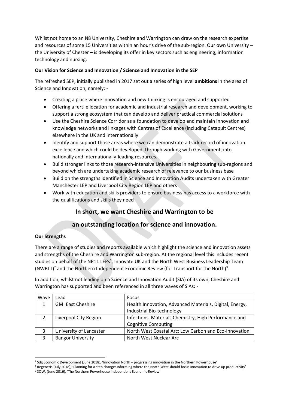Whilst not home to an N8 University, Cheshire and Warrington can draw on the research expertise and resources of some 15 Universities within an hour's drive of the sub-region. Our own University – the University of Chester – is developing its offer in key sectors such as engineering, information technology and nursing.

#### **Our Vision for Science and Innovation / Science and Innovation in the SEP**

The refreshed SEP, initially published in 2017 set out a series of high level **ambitions** in the area of Science and Innovation, namely: -

- Creating a place where innovation and new thinking is encouraged and supported
- Offering a fertile location for academic and industrial research and development, working to support a strong ecosystem that can develop and deliver practical commercial solutions
- Use the Cheshire Science Corridor as a foundation to develop and maintain innovation and knowledge networks and linkages with Centres of Excellence (including Catapult Centres) elsewhere in the UK and internationally.
- Identify and support those areas where we can demonstrate a track record of innovation excellence and which could be developed, through working with Government, into nationally and internationally-leading resources.
- Build stronger links to those research-intensive Universities in neighbouring sub-regions and beyond which are undertaking academic research of relevance to our business base
- Build on the strengths identified in Science and Innovation Audits undertaken with Greater Manchester LEP and Liverpool City Region LEP and others
- Work with education and skills providers to ensure business has access to a workforce with the qualifications and skills they need

# **In short, we want Cheshire and Warrington to be**

# **an outstanding location for science and innovation.**

#### **Our Strengths**

There are a range of studies and reports available which highlight the science and innovation assets and strengths of the Cheshire and Warrington sub-region. At the regional level this includes recent studies on behalf of the NP11 LEPs<sup>1</sup>, Innovate UK and the North West Business Leadership Team (NWBLT)<sup>2</sup> and the Northern Independent Economic Review (for Transport for the North)<sup>3</sup>.

In addition, whilst not leading on a Science and Innovation Audit (SIA) of its own, Cheshire and Warrington has supported and been referenced in all three waves of SIAs: -

| Wave | Lead                     | Focus                                                   |  |  |  |
|------|--------------------------|---------------------------------------------------------|--|--|--|
|      | <b>GM: East Cheshire</b> | Health Innovation, Advanced Materials, Digital, Energy, |  |  |  |
|      |                          | Industrial Bio-technology                               |  |  |  |
|      | Liverpool City Region    | Infections, Materials Chemistry, High Performance and   |  |  |  |
|      |                          | <b>Cognitive Computing</b>                              |  |  |  |
| 3    | University of Lancaster  | North West Coastal Arc: Low Carbon and Eco-Innovation   |  |  |  |
|      | <b>Bangor University</b> | North West Nuclear Arc                                  |  |  |  |

**<sup>.</sup>** <sup>1</sup> Sdg Economic Development (June 2018), 'Innovation North – progressing innovation in the Northern Powerhouse'

<sup>&</sup>lt;sup>2</sup> Regeneris (July 2018), 'Planning for a step change: Informing where the North West should focus innovation to drive up productivity'

<sup>3</sup> SQW, (June 2016), 'The Northern Powerhouse Independent Economic Review'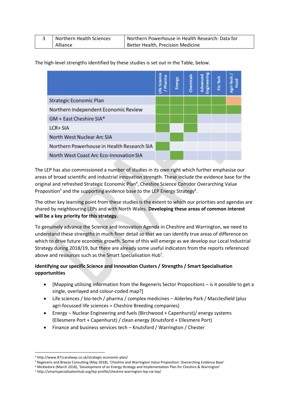| Northern Health Sciences | Northern Powerhouse in Health Research: Data for |  |  |  |
|--------------------------|--------------------------------------------------|--|--|--|
| Alliance                 | Better Health, Precision Medicine                |  |  |  |

The high-level strengths identified by these studies is set out in the Table, below.

|                                            | Life Science<br>Pharma | Energy | Chemicals | Engineering<br>Advanced | Fin Tech | Agri- |
|--------------------------------------------|------------------------|--------|-----------|-------------------------|----------|-------|
|                                            |                        |        |           |                         |          |       |
| Strategic Economic Plan                    |                        |        |           |                         |          |       |
| Northern Independent Economic Review       |                        |        |           |                         |          |       |
| GM + East Cheshire SIA*                    |                        |        |           |                         |          |       |
| LCR+ SIA                                   |                        |        |           |                         |          |       |
| North West Nuclear Arc SIA                 |                        |        |           |                         |          |       |
| Northern Powerhouse in Health Research SIA |                        |        |           |                         |          |       |
| North West Coast Arc Eco-Innovation SIA    |                        |        |           |                         |          |       |

The LEP has also commissioned a number of studies in its own right which further emphasise our areas of broad scientific and industrial innovation strength. These include the evidence base for the original and refreshed Strategic Economic Plan<sup>4</sup>, Cheshire Science Corridor Overarching Value Proposition<sup>5</sup> and the supporting evidence base to the LEP Energy Strategy<sup>6</sup>.

The other key learning point from these studies is the extent to which our priorities and agendas are shared by neighbouring LEPs and with North Wales. **Developing these areas of common interest will be a key priority for this strategy.**

To genuinely advance the Science and Innovation Agenda in Cheshire and Warrington, we need to understand these strengths in much finer detail so that we can identify true areas of difference on which to drive future economic growth. Some of this will emerge as we develop our Local Industrial Strategy during 2018/19, but there are already some useful indicators from the reports referenced above and resources such as the Smart Specialisation Hub<sup>7</sup>.

### **Identifying our specific Science and Innovation Clusters / Strengths / Smart Specialisation opportunities**

- [Mapping utilising information from the Regeneris Sector Propositions is it possible to get a single, overlayed and colour-coded map?]
- Life sciences / bio-tech / pharma / complex medicines Alderley Park / Macclesfield (plus agri-focussed life sciences = Cheshire Breeding companies)
- Energy Nuclear Engineering and fuels (Birchwood + Capenhurst)/ energy systems (Ellesmere Port + Capenhurst) / clean energy (Knutsford + Ellesmere Port)
- Finance and business services tech Knutsford / Warrington / Chester

<sup>1</sup> <sup>4</sup> http://www.871candwep.co.uk/strategic-economic-plan/

<sup>5</sup> Regeneris and Breeze Consulting (May 2018), 'Cheshire and Warrington Value Proposition: Overarching Evidence Base'

<sup>6</sup> Mickledore (March 2018), 'Development of an Energy Strategy and Implementation Plan for Cheshire & Warrington'

<sup>7</sup> http://smartspecialisationhub.org/lep-profile/cheshire-warrington-lep-cw-lep/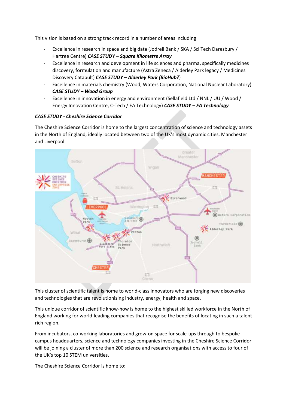This vision is based on a strong track record in a number of areas including

- Excellence in research in space and big data (Jodrell Bank / SKA / Sci Tech Daresbury / Hartree Centre) *CASE STUDY – Square Kilometre Array*
- Excellence in research and development in life sciences and pharma, specifically medicines discovery, formulation and manufacture (Astra Zeneca / Alderley Park legacy / Medicines Discovery Catapult) *CASE STUDY – Alderley Park (BioHub?*)
- Excellence in materials chemistry (Wood, Waters Corporation, National Nuclear Laboratory) *CASE STUDY – Wood Group*
- Excellence in innovation in energy and environment (Sellafield Ltd / NNL / UU / Wood / Energy Innovation Centre, C-Tech / EA Technology) *CASE STUDY – EA Technology*

#### *CASE STUDY - Cheshire Science Corridor*

The Cheshire Science Corridor is home to the largest concentration of science and technology assets in the North of England, ideally located between two of the UK's most dynamic cities, Manchester and Liverpool.



This cluster of scientific talent is home to world-class innovators who are forging new discoveries and technologies that are revolutionising industry, energy, health and space.

This unique corridor of scientific know-how is home to the highest skilled workforce in the North of England working for world-leading companies that recognise the benefits of locating in such a talentrich region.

From incubators, co-working laboratories and grow-on space for scale-ups through to bespoke campus headquarters, science and technology companies investing in the Cheshire Science Corridor will be joining a cluster of more than 200 science and research organisations with access to four of the UK's top 10 STEM universities.

The Cheshire Science Corridor is home to: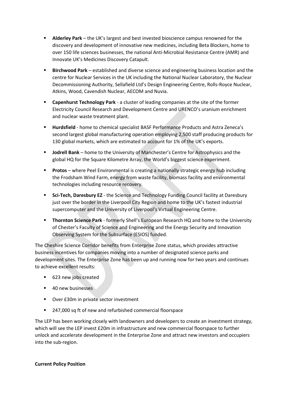- **EXECTE Alderley Park** the UK's largest and best invested bioscience campus renowned for the discovery and development of innovative new medicines, including Beta Blockers, home to over 150 life sciences businesses, the national Anti-Microbial Resistance Centre (AMR) and Innovate UK's Medicines Discovery Catapult.
- **Birchwood Park** established and diverse science and engineering business location and the centre for Nuclear Services in the UK including the National Nuclear Laboratory, the Nuclear Decommissioning Authority, Sellafield Ltd's Design Engineering Centre, Rolls-Royce Nuclear, Atkins, Wood, Cavendish Nuclear, AECOM and Nuvia.
- **Capenhurst Technology Park** a cluster of leading companies at the site of the former Electricity Council Research and Development Centre and URENCO's uranium enrichment and nuclear waste treatment plant.
- **Hurdsfield** home to chemical specialist BASF Performance Products and Astra Zeneca's second largest global manufacturing operation employing 2,500 staff producing products for 130 global markets, which are estimated to account for 1% of the UK's exports.
- **Jodrell Bank** home to the University of Manchester's Centre for Astrophysics and the global HQ for the Square Kilometre Array, the World's biggest science experiment.
- **Protos** where Peel Environmental is creating a nationally strategic energy hub including the Frodsham Wind Farm, energy from waste facility, biomass facility and environmental technologies including resource recovery.
- Sci-Tech, Daresbury EZ the Science and Technology Funding Council facility at Daresbury just over the border in the Liverpool City Region and home to the UK's fastest industrial supercomputer and the University of Liverpool's Virtual Engineering Centre.
- **Thornton Science Park** formerly Shell's European Research HQ and home to the University of Chester's Faculty of Science and Engineering and the Energy Security and Innovation Observing System for the Subsurface (ESIOS) funded.

The Cheshire Science Corridor benefits from Enterprise Zone status, which provides attractive business incentives for companies moving into a number of designated science parks and development sites. The Enterprise Zone has been up and running now for two years and continues to achieve excellent results:

- 623 new jobs created
- 40 new businesses
- Over £30m in private sector investment
- 247,000 sq ft of new and refurbished commercial floorspace

The LEP has been working closely with landowners and developers to create an investment strategy, which will see the LEP invest £20m in infrastructure and new commercial floorspace to further unlock and accelerate development in the Enterprise Zone and attract new investors and occupiers into the sub-region.

#### **Current Policy Position**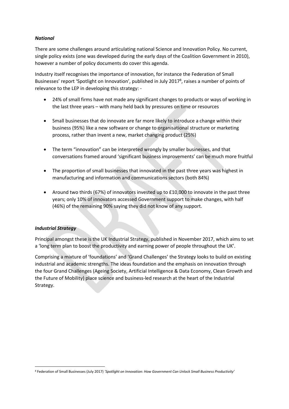#### *National*

There are some challenges around articulating national Science and Innovation Policy. No current, single policy exists (one was developed during the early days of the Coalition Government in 2010), however a number of policy documents do cover this agenda.

Industry itself recognises the importance of innovation, for instance the Federation of Small Businesses' report 'Spotlight on Innovation', published in July 2017<sup>8</sup>, raises a number of points of relevance to the LEP in developing this strategy: -

- 24% of small firms have not made any significant changes to products or ways of working in the last three years – with many held back by pressures on time or resources
- Small businesses that do innovate are far more likely to introduce a change within their business (95%) like a new software or change to organisational structure or marketing process, rather than invent a new, market changing product (25%)
- The term "innovation" can be interpreted wrongly by smaller businesses, and that conversations framed around 'significant business improvements' can be much more fruitful
- The proportion of small businesses that innovated in the past three years was highest in manufacturing and information and communications sectors (both 84%)
- Around two thirds (67%) of innovators invested up to £10,000 to innovate in the past three years; only 10% of innovators accessed Government support to make changes, with half (46%) of the remaining 90% saying they did not know of any support.

#### *Industrial Strategy*

 $\overline{\phantom{a}}$ 

Principal amongst these is the UK Industrial Strategy, published in November 2017, which aims to set a 'long term plan to boost the productivity and earning power of people throughout the UK'.

Comprising a mixture of 'foundations' and 'Grand Challenges' the Strategy looks to build on existing industrial and academic strengths. The ideas foundation and the emphasis on innovation through the four Grand Challenges (Ageing Society, Artificial Intelligence & Data Economy, Clean Growth and the Future of Mobility) place science and business-led research at the heart of the Industrial Strategy.

<sup>8</sup> Federation of Small Businesses (July 2017) *'Spotlight on Innovation: How Government Can Unlock Small Business Productivity'*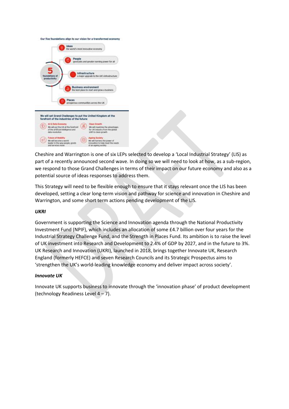Our five foundations align to our vision for a transformed econ



Cheshire and Warrington is one of six LEPs selected to develop a 'Local Industrial Strategy' (LIS) as part of a recently announced second wave. In doing so we will need to look at how, as a sub-region, we respond to those Grand Challenges in terms of their impact on our future economy and also as a potential source of ideas responses to address them.

This Strategy will need to be flexible enough to ensure that it stays relevant once the LIS has been developed, setting a clear long-term vision and pathway for science and innovation in Cheshire and Warrington, and some short term actions pending development of the LIS.

#### *UKRI*

Government is supporting the Science and Innovation agenda through the National Productivity Investment Fund (NPIF), which includes an allocation of some £4.7 billion over four years for the Industrial Strategy Challenge Fund, and the Strength in Places Fund. Its ambition is to raise the level of UK investment into Research and Development to 2.4% of GDP by 2027, and in the future to 3%. UK Research and Innovation (UKRI), launched in 2018, brings together Innovate UK, Research England (formerly HEFCE) and seven Research Councils and its Strategic Prospectus aims to 'strengthen the UK's world-leading knowledge economy and deliver impact across society'.

#### *Innovate UK*

Innovate UK supports business to innovate through the 'innovation phase' of product development (technology Readiness Level  $4 - 7$ ).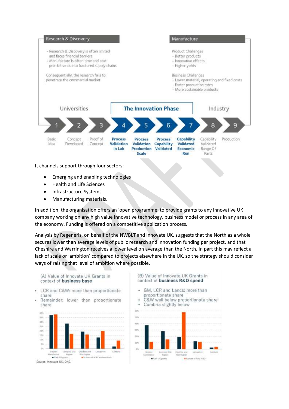

It channels support through four sectors: -

- Emerging and enabling technologies
- Health and Life Sciences
- Infrastructure Systems
- Manufacturing materials.

In addition, the organisation offers an 'open programme' to provide grants to any innovative UK company working on any high value innovative technology, business model or process in any area of the economy. Funding is offered on a competitive application process.

Analysis by Regeneris, on behalf of the NWBLT and Innovate UK, suggests that the North as a whole secures lower than average levels of public research and innovation funding per project, and that Cheshire and Warrington receives a lower level on average than the North. In part this may reflect a lack of scale or 'ambition' compared to projects elsewhere in the UK, so the strategy should consider ways of raising that level of ambition where possible.

(A) Value of Innovate UK Grants in context of business base

- LCR and C&W: more than proportionate share
- Remainder: lower than proportionate share



#### (B) Value of Innovate UK Grants in context of business R&D spend

- GM, LCR and Lancs: more than proportionate share
- C&W well below proportionate share

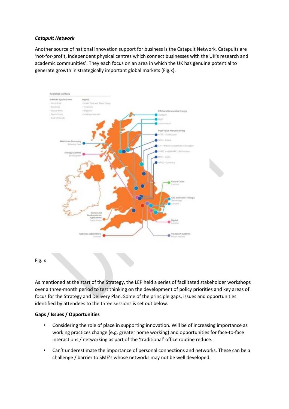#### *Catapult Network*

Another source of national innovation support for business is the Catapult Network. Catapults are 'not-for-profit, independent physical centres which connect businesses with the UK's research and academic communities'. They each focus on an area in which the UK has genuine potential to generate growth in strategically important global markets (Fig.x).



#### Fig. x

As mentioned at the start of the Strategy, the LEP held a series of facilitated stakeholder workshops over a three-month period to test thinking on the development of policy priorities and key areas of focus for the Strategy and Delivery Plan. Some of the principle gaps, issues and opportunities identified by attendees to the three sessions is set out below.

#### **Gaps / Issues / Opportunities**

- Considering the role of place in supporting innovation. Will be of increasing importance as working practices change (e.g. greater home working) and opportunities for face-to-face interactions / networking as part of the 'traditional' office routine reduce.
- Can't underestimate the importance of personal connections and networks. These can be a challenge / barrier to SME's whose networks may not be well developed.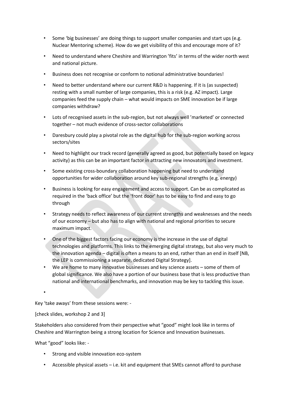- Some 'big businesses' are doing things to support smaller companies and start ups (e.g. Nuclear Mentoring scheme). How do we get visibility of this and encourage more of it?
- Need to understand where Cheshire and Warrington 'fits' in terms of the wider north west and national picture.
- Business does not recognise or conform to notional administrative boundaries!
- Need to better understand where our current R&D is happening. If it is (as suspected) resting with a small number of large companies, this is a risk (e.g. AZ impact). Large companies feed the supply chain – what would impacts on SME innovation be if large companies withdraw?
- Lots of recognised assets in the sub-region, but not always well 'marketed' or connected together – not much evidence of cross-sector collaborations
- Daresbury could play a pivotal role as the digital hub for the sub-region working across sectors/sites
- Need to highlight our track record (generally agreed as good, but potentially based on legacy activity) as this can be an important factor in attracting new innovators and investment.
- Some existing cross-boundary collaboration happening but need to understand opportunities for wider collaboration around key sub-regional strengths (e.g. energy)
- Business is looking for easy engagement and access to support. Can be as complicated as required in the 'back office' but the 'front door' has to be easy to find and easy to go through
- Strategy needs to reflect awareness of our current strengths and weaknesses and the needs of our economy – but also has to align with national and regional priorities to secure maximum impact.
- One of the biggest factors facing our economy is the increase in the use of digital technologies and platforms. This links to the emerging digital strategy, but also very much to the innovation agenda – digital is often a means to an end, rather than an end in itself [NB, the LEP is commissioning a separate, dedicated Digital Strategy].
- We are home to many innovative businesses and key science assets some of them of global significance. We also have a portion of our business base that is less productive than national and international benchmarks, and innovation may be key to tackling this issue.

•

Key 'take aways' from these sessions were: -

#### [check slides, workshop 2 and 3]

Stakeholders also considered from their perspective what "good" might look like in terms of Cheshire and Warrington being a strong location for Science and Innovation businesses.

What "good" looks like: -

- Strong and visible innovation eco-system
- Accessible physical assets i.e. kit and equipment that SMEs cannot afford to purchase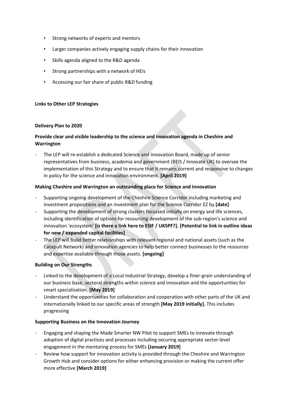- Strong networks of experts and mentors
- Larger companies actively engaging supply chains for their innovation
- Skills agenda aligned to the R&D agenda
- Strong partnerships with a network of HEIs
- Accessing our fair share of public R&D funding

#### **Links to Other LEP Strategies**

#### **Delivery Plan to 2020**

#### **Provide clear and visible leadership to the science and innovation agenda in Cheshire and Warrington**

The LEP will re-establish a dedicated Science and Innovation Board, made up of senior representatives from business, academia and government (BEIS / Innovate UK) to oversee the implementation of this Strategy and to ensure that it remains current and responsive to changes in policy for the science and innovation environment. **[April 2019]**

#### **Making Cheshire and Warrington an outstanding place for Science and Innovation**

- Supporting ongoing development of the Cheshire Science Corridor including marketing and investment propositions and an investment plan for the Science Corridor EZ by **[date]**
- Supporting the development of strong clusters focussed initially on energy and life sciences, including identification of options for resourcing development of the sub-region's science and innovation 'ecosystem' **[is there a link here to ESIF / UKSPF?]. [Potential to link in outline ideas for new / expanded capital facilities]**
- The LEP will build better relationships with relevant regional and national assets (such as the Catapult Network) and innovation agencies to help better connect businesses to the resources and expertise available through those assets. **[ongoing]**

#### **Building on Our Strengths**

- Linked to the development of a Local Industrial Strategy, develop a finer-grain understanding of our business base, sectoral strengths within science and innovation and the opportunities for smart specialisation. **[May 2019]**
- Understand the opportunities for collaboration and cooperation with other parts of the UK and internationally linked to our specific areas of strength **[May 2019 initially].** This includes progressing

#### **Supporting Business on the Innovation Journey**

- Engaging and shaping the Made Smarter NW Pilot to support SMEs to innovate through adoption of digital practices and processes including securing appropriate sector-level engagement in the mentoring process for SMEs **[January 2019]**
- Review how support for innovation activity is provided through the Cheshire and Warrington Growth Hub and consider options for either enhancing provision or making the current offer more effective **[March 2019]**